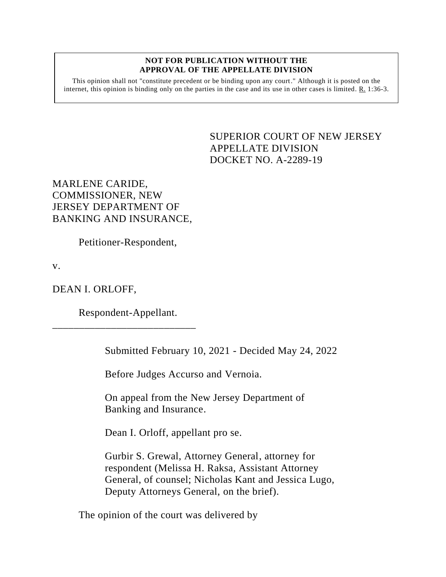## **NOT FOR PUBLICATION WITHOUT THE APPROVAL OF THE APPELLATE DIVISION**

This opinion shall not "constitute precedent or be binding upon any court." Although it is posted on the internet, this opinion is binding only on the parties in the case and its use in other cases is limited.  $R_1$  1:36-3.

> <span id="page-0-0"></span>SUPERIOR COURT OF NEW JERSEY APPELLATE DIVISION DOCKET NO. A-2289-19

MARLENE CARIDE, COMMISSIONER, NEW JERSEY DEPARTMENT OF BANKING AND INSURANCE,

Petitioner-Respondent,

v.

DEAN I. ORLOFF,

Respondent-Appellant.

\_\_\_\_\_\_\_\_\_\_\_\_\_\_\_\_\_\_\_\_\_\_\_\_\_\_\_

Submitted February 10, 2021 - Decided May 24, 2022

Before Judges Accurso and Vernoia.

On appeal from the New Jersey Department of Banking and Insurance.

Dean I. Orloff, appellant pro se.

Gurbir S. Grewal, Attorney General, attorney for respondent (Melissa H. Raksa, Assistant Attorney General, of counsel; Nicholas Kant and Jessica Lugo, Deputy Attorneys General, on the brief).

The opinion of the court was delivered by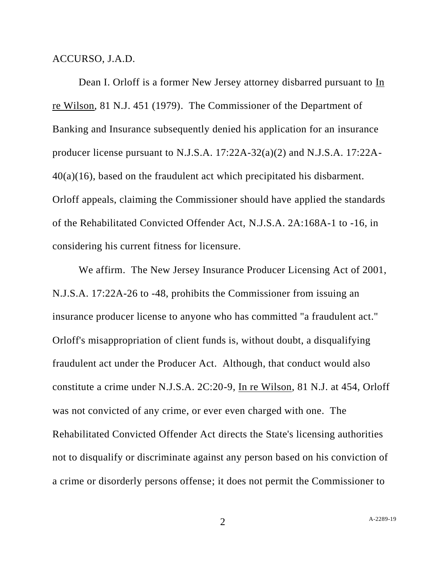ACCURSO, J.A.D.

Dean I. Orloff is a former New Jersey attorney disbarred pursuant to In re Wilson, 81 N.J. 451 (1979). The Commissioner of the Department of Banking and Insurance subsequently denied his application for an insurance producer license pursuant to N.J.S.A. 17:22A-32(a)(2) and N.J.S.A. 17:22A-40(a)(16), based on the fraudulent act which precipitated his disbarment. Orloff appeals, claiming the Commissioner should have applied the standards of the Rehabilitated Convicted Offender Act, N.J.S.A. 2A:168A-1 to -16, in considering his current fitness for licensure.

We affirm. The New Jersey Insurance Producer Licensing Act of 2001, N.J.S.A. 17:22A-26 to -48, prohibits the Commissioner from issuing an insurance producer license to anyone who has committed "a fraudulent act." Orloff's misappropriation of client funds is, without doubt, a disqualifying fraudulent act under the Producer Act. Although, that conduct would also constitute a crime under N.J.S.A. 2C:20-9, In re Wilson, 81 N.J. at 454, Orloff was not convicted of any crime, or ever even charged with one. The Rehabilitated Convicted Offender Act directs the State's licensing authorities not to disqualify or discriminate against any person based on his conviction of a crime or disorderly persons offense; it does not permit the Commissioner to

2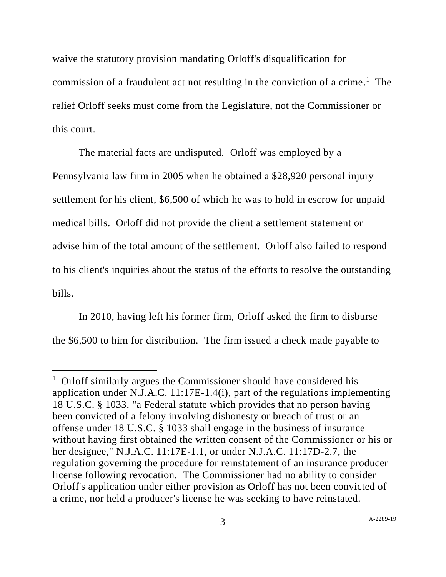waive the statutory provision mandating Orloff's disqualification for commission of a fraudulent act not resulting in the conviction of a crime.<sup>1</sup> The relief Orloff seeks must come from the Legislature, not the Commissioner or this court.

The material facts are undisputed. Orloff was employed by a Pennsylvania law firm in 2005 when he obtained a \$28,920 personal injury settlement for his client, \$6,500 of which he was to hold in escrow for unpaid medical bills. Orloff did not provide the client a settlement statement or advise him of the total amount of the settlement. Orloff also failed to respond to his client's inquiries about the status of the efforts to resolve the outstanding bills.

In 2010, having left his former firm, Orloff asked the firm to disburse the \$6,500 to him for distribution. The firm issued a check made payable to

<sup>&</sup>lt;sup>1</sup> Orloff similarly argues the Commissioner should have considered his application under N.J.A.C. 11:17E-1.4(i), part of the regulations implementing 18 U.S.C. § 1033, "a Federal statute which provides that no person having been convicted of a felony involving dishonesty or breach of trust or an offense under 18 U.S.C. § 1033 shall engage in the business of insurance without having first obtained the written consent of the Commissioner or his or her designee," N.J.A.C. 11:17E-1.1, or under N.J.A.C. 11:17D-2.7, the regulation governing the procedure for reinstatement of an insurance producer license following revocation. The Commissioner had no ability to consider Orloff's application under either provision as Orloff has not been convicted of a crime, nor held a producer's license he was seeking to have reinstated.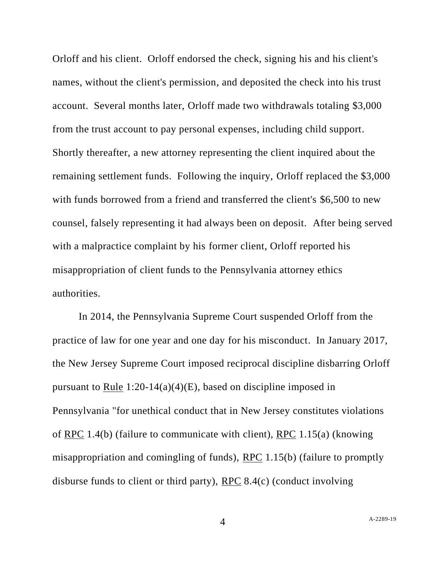Orloff and his client. Orloff endorsed the check, signing his and his client's names, without the client's permission, and deposited the check into his trust account. Several months later, Orloff made two withdrawals totaling \$3,000 from the trust account to pay personal expenses, including child support. Shortly thereafter, a new attorney representing the client inquired about the remaining settlement funds. Following the inquiry, Orloff replaced the \$3,000 with funds borrowed from a friend and transferred the client's \$6,500 to new counsel, falsely representing it had always been on deposit. After being served with a malpractice complaint by his former client, Orloff reported his misappropriation of client funds to the Pennsylvania attorney ethics authorities.

In 2014, the Pennsylvania Supreme Court suspended Orloff from the practice of law for one year and one day for his misconduct. In January 2017, the New Jersey Supreme Court imposed reciprocal discipline disbarring Orloff pursuant to Rule  $1:20-14(a)(4)(E)$ , based on discipline imposed in Pennsylvania "for unethical conduct that in New Jersey constitutes violations of RPC 1.4(b) (failure to communicate with client), RPC 1.15(a) (knowing misappropriation and comingling of funds), RPC 1.15(b) (failure to promptly disburse funds to client or third party), RPC 8.4(c) (conduct involving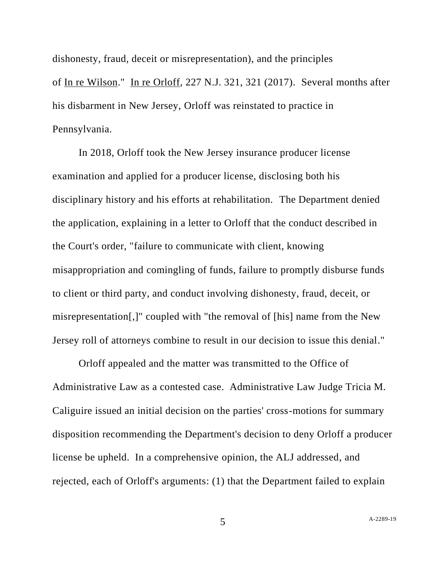dishonesty, fraud, deceit or misrepresentation), and the principles of In re Wilson." In re Orloff, 227 N.J. 321, 321 (2017). Several months after his disbarment in New Jersey, Orloff was reinstated to practice in Pennsylvania.

In 2018, Orloff took the New Jersey insurance producer license examination and applied for a producer license, disclosing both his disciplinary history and his efforts at rehabilitation. The Department denied the application, explaining in a letter to Orloff that the conduct described in the Court's order, "failure to communicate with client, knowing misappropriation and comingling of funds, failure to promptly disburse funds to client or third party, and conduct involving dishonesty, fraud, deceit, or misrepresentation[,]" coupled with "the removal of [his] name from the New Jersey roll of attorneys combine to result in our decision to issue this denial."

Orloff appealed and the matter was transmitted to the Office of Administrative Law as a contested case. Administrative Law Judge Tricia M. Caliguire issued an initial decision on the parties' cross-motions for summary disposition recommending the Department's decision to deny Orloff a producer license be upheld. In a comprehensive opinion, the ALJ addressed, and rejected, each of Orloff's arguments: (1) that the Department failed to explain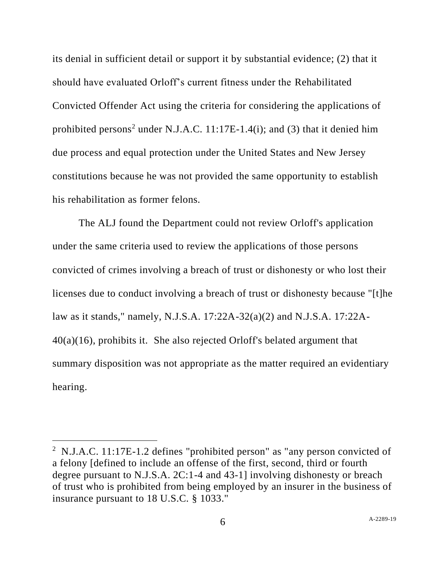its denial in sufficient detail or support it by substantial evidence; (2) that it should have evaluated Orloff's current fitness under the Rehabilitated Convicted Offender Act using the criteria for considering the applications of prohibited persons<sup>2</sup> under N.J.A.C. 11:17E-1.4(i); and (3) that it denied him due process and equal protection under the United States and New Jersey constitutions because he was not provided the same opportunity to establish his rehabilitation as former felons.

The ALJ found the Department could not review Orloff's application under the same criteria used to review the applications of those persons convicted of crimes involving a breach of trust or dishonesty or who lost their licenses due to conduct involving a breach of trust or dishonesty because "[t]he law as it stands," namely, N.J.S.A. 17:22A-32(a)(2) and N.J.S.A. 17:22A-40(a)(16), prohibits it. She also rejected Orloff's belated argument that summary disposition was not appropriate as the matter required an evidentiary hearing.

<sup>&</sup>lt;sup>2</sup> N.J.A.C. 11:17E-1.2 defines "prohibited person" as "any person convicted of a felony [defined to include an offense of the first, second, third or fourth degree pursuant to N.J.S.A. 2C:1-4 and 43-1] involving dishonesty or breach of trust who is prohibited from being employed by an insurer in the business of insurance pursuant to 18 U.S.C. § 1033."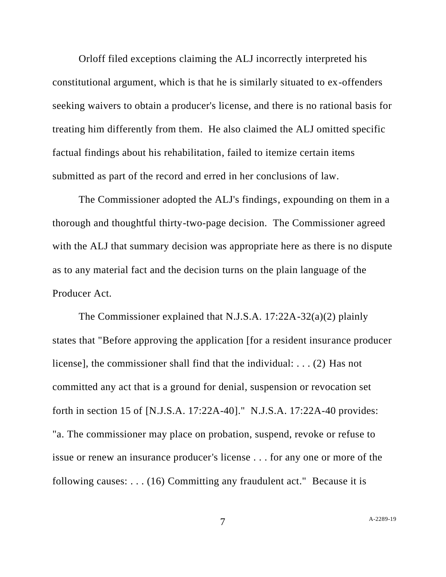Orloff filed exceptions claiming the ALJ incorrectly interpreted his constitutional argument, which is that he is similarly situated to ex-offenders seeking waivers to obtain a producer's license, and there is no rational basis for treating him differently from them. He also claimed the ALJ omitted specific factual findings about his rehabilitation, failed to itemize certain items submitted as part of the record and erred in her conclusions of law.

The Commissioner adopted the ALJ's findings, expounding on them in a thorough and thoughtful thirty-two-page decision. The Commissioner agreed with the ALJ that summary decision was appropriate here as there is no dispute as to any material fact and the decision turns on the plain language of the Producer Act.

The Commissioner explained that N.J.S.A. 17:22A-32(a)(2) plainly states that "Before approving the application [for a resident insurance producer license], the commissioner shall find that the individual: . . . (2) Has not committed any act that is a ground for denial, suspension or revocation set forth in section 15 of [N.J.S.A. 17:22A-40]." N.J.S.A. 17:22A-40 provides: "a. The commissioner may place on probation, suspend, revoke or refuse to issue or renew an insurance producer's license . . . for any one or more of the following causes: . . . (16) Committing any fraudulent act." Because it is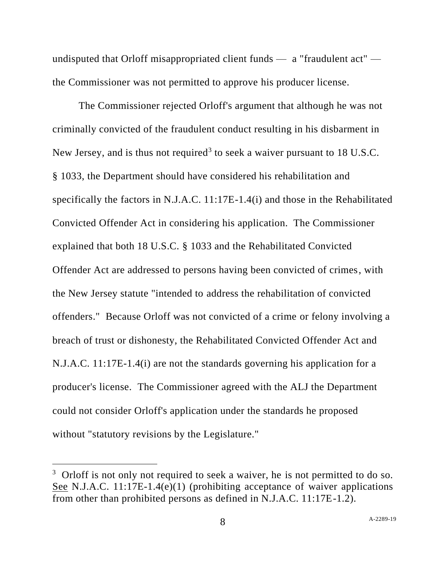undisputed that Orloff misappropriated client funds — a "fraudulent act" the Commissioner was not permitted to approve his producer license.

The Commissioner rejected Orloff's argument that although he was not criminally convicted of the fraudulent conduct resulting in his disbarment in New Jersey, and is thus not required<sup>3</sup> to seek a waiver pursuant to  $18$  U.S.C. § 1033, the Department should have considered his rehabilitation and specifically the factors in N.J.A.C. 11:17E-1.4(i) and those in the Rehabilitated Convicted Offender Act in considering his application. The Commissioner explained that both 18 U.S.C. § 1033 and the Rehabilitated Convicted Offender Act are addressed to persons having been convicted of crimes, with the New Jersey statute "intended to address the rehabilitation of convicted offenders." Because Orloff was not convicted of a crime or felony involving a breach of trust or dishonesty, the Rehabilitated Convicted Offender Act and N.J.A.C. 11:17E-1.4(i) are not the standards governing his application for a producer's license. The Commissioner agreed with the ALJ the Department could not consider Orloff's application under the standards he proposed without "statutory revisions by the Legislature."

<sup>&</sup>lt;sup>3</sup> Orloff is not only not required to seek a waiver, he is not permitted to do so. See N.J.A.C. 11:17E-1.4(e)(1) (prohibiting acceptance of waiver applications from other than prohibited persons as defined in N.J.A.C. 11:17E-1.2).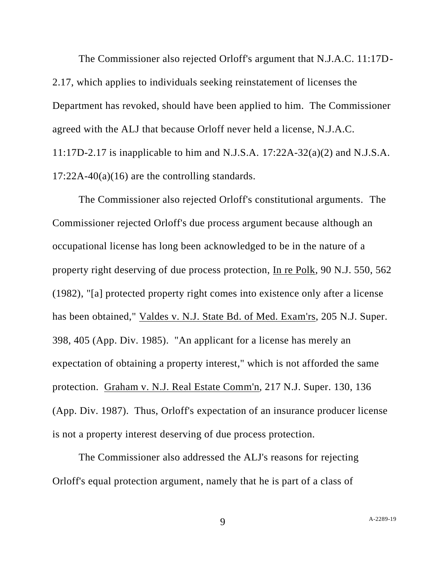The Commissioner also rejected Orloff's argument that N.J.A.C. 11:17D-2.17, which applies to individuals seeking reinstatement of licenses the Department has revoked, should have been applied to him. The Commissioner agreed with the ALJ that because Orloff never held a license, N.J.A.C. 11:17D-2.17 is inapplicable to him and N.J.S.A. 17:22A-32(a)(2) and N.J.S.A.  $17:22A-40(a)(16)$  are the controlling standards.

The Commissioner also rejected Orloff's constitutional arguments. The Commissioner rejected Orloff's due process argument because although an occupational license has long been acknowledged to be in the nature of a property right deserving of due process protection, In re Polk, 90 N.J. 550, 562 (1982), "[a] protected property right comes into existence only after a license has been obtained," Valdes v. N.J. State Bd. of Med. Exam'rs, 205 N.J. Super. 398, 405 (App. Div. 1985). "An applicant for a license has merely an expectation of obtaining a property interest," which is not afforded the same protection. Graham v. N.J. Real Estate Comm'n, 217 N.J. Super. 130, 136 (App. Div. 1987). Thus, Orloff's expectation of an insurance producer license is not a property interest deserving of due process protection.

The Commissioner also addressed the ALJ's reasons for rejecting Orloff's equal protection argument, namely that he is part of a class of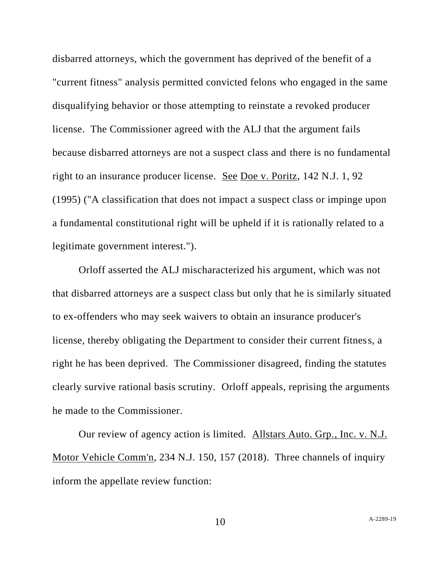disbarred attorneys, which the government has deprived of the benefit of a "current fitness" analysis permitted convicted felons who engaged in the same disqualifying behavior or those attempting to reinstate a revoked producer license. The Commissioner agreed with the ALJ that the argument fails because disbarred attorneys are not a suspect class and there is no fundamental right to an insurance producer license. See Doe v. Poritz, 142 N.J. 1, 92 (1995) ("A classification that does not impact a suspect class or impinge upon a fundamental constitutional right will be upheld if it is rationally related to a legitimate government interest.").

Orloff asserted the ALJ mischaracterized his argument, which was not that disbarred attorneys are a suspect class but only that he is similarly situated to ex-offenders who may seek waivers to obtain an insurance producer's license, thereby obligating the Department to consider their current fitness, a right he has been deprived. The Commissioner disagreed, finding the statutes clearly survive rational basis scrutiny. Orloff appeals, reprising the arguments he made to the Commissioner.

Our review of agency action is limited. Allstars Auto. Grp., Inc. v. N.J. Motor Vehicle Comm'n, 234 N.J. 150, 157 (2018). Three channels of inquiry inform the appellate review function: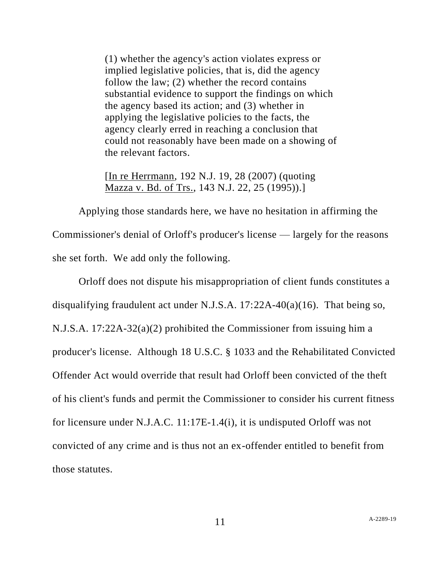(1) whether the agency's action violates express or implied legislative policies, that is, did the agency follow the law; (2) whether the record contains substantial evidence to support the findings on which the agency based its action; and (3) whether in applying the legislative policies to the facts, the agency clearly erred in reaching a conclusion that could not reasonably have been made on a showing of the relevant factors.

[In re Herrmann, 192 N.J. 19, 28 (2007) (quoting Mazza v. Bd. of Trs., 143 N.J. 22, 25 (1995)).]

Applying those standards here, we have no hesitation in affirming the Commissioner's denial of Orloff's producer's license — largely for the reasons she set forth. We add only the following.

Orloff does not dispute his misappropriation of client funds constitutes a disqualifying fraudulent act under N.J.S.A. 17:22A-40(a)(16). That being so, N.J.S.A. 17:22A-32(a)(2) prohibited the Commissioner from issuing him a producer's license. Although 18 U.S.C. § 1033 and the Rehabilitated Convicted Offender Act would override that result had Orloff been convicted of the theft of his client's funds and permit the Commissioner to consider his current fitness for licensure under N.J.A.C. 11:17E-1.4(i), it is undisputed Orloff was not convicted of any crime and is thus not an ex-offender entitled to benefit from those statutes.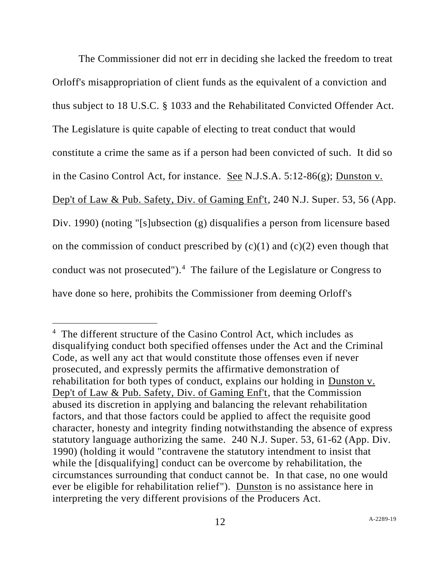The Commissioner did not err in deciding she lacked the freedom to treat Orloff's misappropriation of client funds as the equivalent of a conviction and thus subject to 18 U.S.C. § 1033 and the Rehabilitated Convicted Offender Act. The Legislature is quite capable of electing to treat conduct that would constitute a crime the same as if a person had been convicted of such. It did so in the Casino Control Act, for instance. See N.J.S.A. 5:12-86(g); Dunston v. Dep't of Law & Pub. Safety, Div. of Gaming Enf't, 240 N.J. Super. 53, 56 (App. Div. 1990) (noting "[s]ubsection (g) disqualifies a person from licensure based on the commission of conduct prescribed by  $(c)(1)$  and  $(c)(2)$  even though that conduct was not prosecuted").<sup>4</sup> The failure of the Legislature or Congress to have done so here, prohibits the Commissioner from deeming Orloff's

<sup>&</sup>lt;sup>4</sup> The different structure of the Casino Control Act, which includes as disqualifying conduct both specified offenses under the Act and the Criminal Code, as well any act that would constitute those offenses even if never prosecuted, and expressly permits the affirmative demonstration of rehabilitation for both types of conduct, explains our holding in Dunston v. Dep't of Law & Pub. Safety, Div. of Gaming Enf't, that the Commission abused its discretion in applying and balancing the relevant rehabilitation factors, and that those factors could be applied to affect the requisite good character, honesty and integrity finding notwithstanding the absence of express statutory language authorizing the same. 240 N.J. Super. 53, 61-62 (App. Div. 1990) (holding it would "contravene the statutory intendment to insist that while the [disqualifying] conduct can be overcome by rehabilitation, the circumstances surrounding that conduct cannot be. In that case, no one would ever be eligible for rehabilitation relief"). Dunston is no assistance here in interpreting the very different provisions of the Producers Act.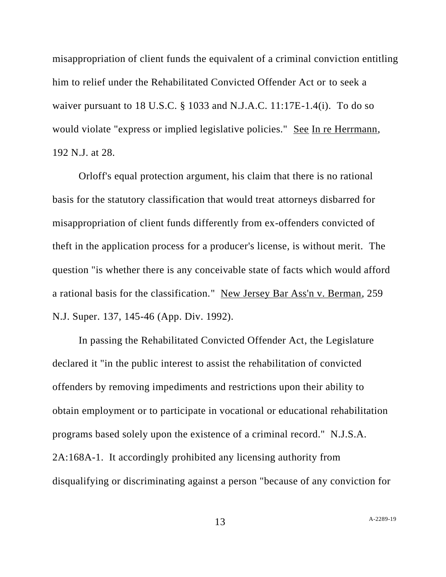misappropriation of client funds the equivalent of a criminal conviction entitling him to relief under the Rehabilitated Convicted Offender Act or to seek a waiver pursuant to 18 U.S.C. § 1033 and N.J.A.C. 11:17E-1.4(i). To do so would violate "express or implied legislative policies." See In re Herrmann, 192 N.J. at 28.

Orloff's equal protection argument, his claim that there is no rational basis for the statutory classification that would treat attorneys disbarred for misappropriation of client funds differently from ex-offenders convicted of theft in the application process for a producer's license, is without merit. The question "is whether there is any conceivable state of facts which would afford a rational basis for the classification." New Jersey Bar Ass'n v. Berman, 259 N.J. Super. 137, 145-46 (App. Div. 1992).

In passing the Rehabilitated Convicted Offender Act, the Legislature declared it "in the public interest to assist the rehabilitation of convicted offenders by removing impediments and restrictions upon their ability to obtain employment or to participate in vocational or educational rehabilitation programs based solely upon the existence of a criminal record." N.J.S.A. 2A:168A-1. It accordingly prohibited any licensing authority from disqualifying or discriminating against a person "because of any conviction for